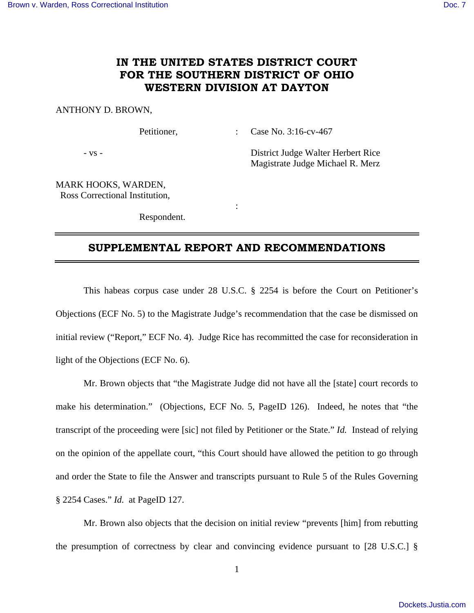# **IN THE UNITED STATES DISTRICT COURT FOR THE SOUTHERN DISTRICT OF OHIO WESTERN DIVISION AT DAYTON**

#### ANTHONY D. BROWN,

Petitioner, : Case No. 3:16-cv-467

- vs - District Judge Walter Herbert Rice Magistrate Judge Michael R. Merz

MARK HOOKS, WARDEN, Ross Correctional Institution,

Respondent.

**Service State State State** 

## **SUPPLEMENTAL REPORT AND RECOMMENDATIONS**

 This habeas corpus case under 28 U.S.C. § 2254 is before the Court on Petitioner's Objections (ECF No. 5) to the Magistrate Judge's recommendation that the case be dismissed on initial review ("Report," ECF No. 4). Judge Rice has recommitted the case for reconsideration in light of the Objections (ECF No. 6).

 Mr. Brown objects that "the Magistrate Judge did not have all the [state] court records to make his determination." (Objections, ECF No. 5, PageID 126). Indeed, he notes that "the transcript of the proceeding were [sic] not filed by Petitioner or the State." *Id.* Instead of relying on the opinion of the appellate court, "this Court should have allowed the petition to go through and order the State to file the Answer and transcripts pursuant to Rule 5 of the Rules Governing § 2254 Cases." *Id.* at PageID 127.

 Mr. Brown also objects that the decision on initial review "prevents [him] from rebutting the presumption of correctness by clear and convincing evidence pursuant to [28 U.S.C.] §

1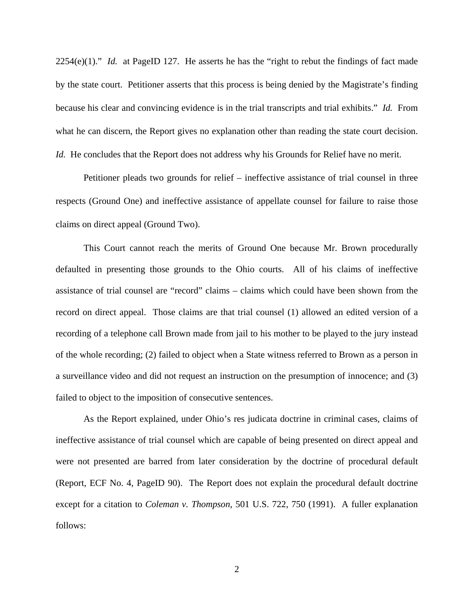2254(e)(1)." *Id.* at PageID 127. He asserts he has the "right to rebut the findings of fact made by the state court. Petitioner asserts that this process is being denied by the Magistrate's finding because his clear and convincing evidence is in the trial transcripts and trial exhibits." *Id.* From what he can discern, the Report gives no explanation other than reading the state court decision. *Id.* He concludes that the Report does not address why his Grounds for Relief have no merit.

 Petitioner pleads two grounds for relief – ineffective assistance of trial counsel in three respects (Ground One) and ineffective assistance of appellate counsel for failure to raise those claims on direct appeal (Ground Two).

 This Court cannot reach the merits of Ground One because Mr. Brown procedurally defaulted in presenting those grounds to the Ohio courts. All of his claims of ineffective assistance of trial counsel are "record" claims – claims which could have been shown from the record on direct appeal. Those claims are that trial counsel (1) allowed an edited version of a recording of a telephone call Brown made from jail to his mother to be played to the jury instead of the whole recording; (2) failed to object when a State witness referred to Brown as a person in a surveillance video and did not request an instruction on the presumption of innocence; and (3) failed to object to the imposition of consecutive sentences.

As the Report explained, under Ohio's res judicata doctrine in criminal cases, claims of ineffective assistance of trial counsel which are capable of being presented on direct appeal and were not presented are barred from later consideration by the doctrine of procedural default (Report, ECF No. 4, PageID 90). The Report does not explain the procedural default doctrine except for a citation to *Coleman v. Thompson*, 501 U.S. 722, 750 (1991). A fuller explanation follows: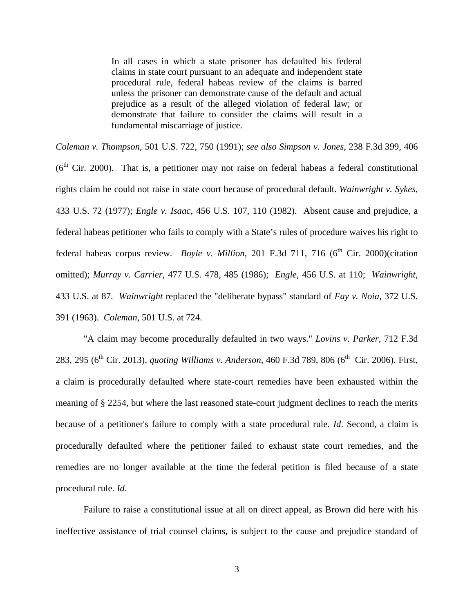In all cases in which a state prisoner has defaulted his federal claims in state court pursuant to an adequate and independent state procedural rule, federal habeas review of the claims is barred unless the prisoner can demonstrate cause of the default and actual prejudice as a result of the alleged violation of federal law; or demonstrate that failure to consider the claims will result in a fundamental miscarriage of justice.

*Coleman v. Thompson*, 501 U.S. 722, 750 (1991); *see also Simpson v. Jones*, 238 F.3d 399, 406  $(6<sup>th</sup> Cir. 2000)$ . That is, a petitioner may not raise on federal habeas a federal constitutional rights claim he could not raise in state court because of procedural default. *Wainwright v. Sykes*, 433 U.S. 72 (1977); *Engle v. Isaac*, 456 U.S. 107, 110 (1982). Absent cause and prejudice, a federal habeas petitioner who fails to comply with a State's rules of procedure waives his right to federal habeas corpus review. *Boyle v. Million*, 201 F.3d 711, 716 ( $6<sup>th</sup>$  Cir. 2000)(citation omitted); *Murray v. Carrier*, 477 U.S. 478, 485 (1986); *Engle*, 456 U.S. at 110; *Wainwright*, 433 U.S. at 87. *Wainwright* replaced the "deliberate bypass" standard of *Fay v. Noia*, 372 U.S. 391 (1963). *Coleman*, 501 U.S. at 724.

"A claim may become procedurally defaulted in two ways." *Lovins v. Parker*, 712 F.3d 283, 295 (6<sup>th</sup> Cir. 2013), *quoting Williams v. Anderson*, 460 F.3d 789, 806 (6<sup>th</sup> Cir. 2006). First, a claim is procedurally defaulted where state-court remedies have been exhausted within the meaning of § 2254, but where the last reasoned state-court judgment declines to reach the merits because of a petitioner's failure to comply with a state procedural rule. *Id*. Second, a claim is procedurally defaulted where the petitioner failed to exhaust state court remedies, and the remedies are no longer available at the time the federal petition is filed because of a state procedural rule. *Id*.

Failure to raise a constitutional issue at all on direct appeal, as Brown did here with his ineffective assistance of trial counsel claims, is subject to the cause and prejudice standard of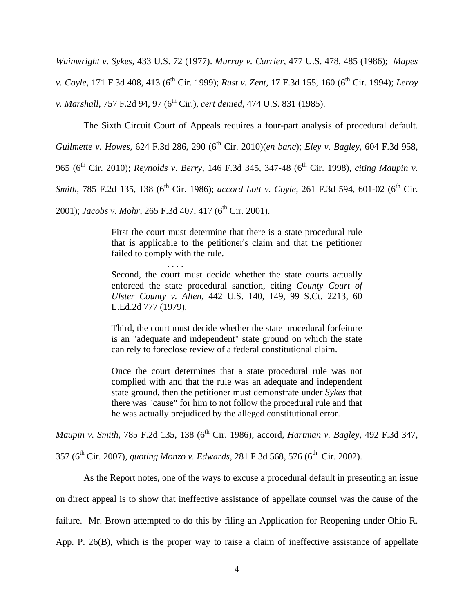*Wainwright v. Sykes*, 433 U.S. 72 (1977). *Murray v. Carrier*, 477 U.S. 478, 485 (1986); *Mapes v. Coyle,* 171 F.3d 408, 413 (6<sup>th</sup> Cir. 1999); *Rust v. Zent,* 17 F.3d 155, 160 (6<sup>th</sup> Cir. 1994); *Leroy v. Marshall*, 757 F.2d 94, 97 (6<sup>th</sup> Cir.), *cert denied*, 474 U.S. 831 (1985).

The Sixth Circuit Court of Appeals requires a four-part analysis of procedural default.

*Guilmette v. Howes,* 624 F.3d 286, 290 (6<sup>th</sup> Cir. 2010)(*en banc*); *Eley v. Bagley*, 604 F.3d 958,

965 (6<sup>th</sup> Cir. 2010); *Reynolds v. Berry*, 146 F.3d 345, 347-48 (6<sup>th</sup> Cir. 1998), *citing Maupin v.* 

*Smith*, 785 F.2d 135, 138 (6<sup>th</sup> Cir. 1986); *accord Lott v. Coyle*, 261 F.3d 594, 601-02 (6<sup>th</sup> Cir.

2001); *Jacobs v. Mohr*, 265 F.3d 407, 417 (6<sup>th</sup> Cir. 2001).

. . . .

First the court must determine that there is a state procedural rule that is applicable to the petitioner's claim and that the petitioner failed to comply with the rule.

Second, the court must decide whether the state courts actually enforced the state procedural sanction, citing *County Court of Ulster County v. Allen*, 442 U.S. 140, 149, 99 S.Ct. 2213, 60 L.Ed.2d 777 (1979).

Third, the court must decide whether the state procedural forfeiture is an "adequate and independent" state ground on which the state can rely to foreclose review of a federal constitutional claim.

Once the court determines that a state procedural rule was not complied with and that the rule was an adequate and independent state ground, then the petitioner must demonstrate under *Sykes* that there was "cause" for him to not follow the procedural rule and that he was actually prejudiced by the alleged constitutional error.

*Maupin v. Smith, 785 F.2d 135, 138 (6<sup>th</sup> Cir. 1986); accord, <i>Hartman v. Bagley, 492 F.3d 347,* 

357 (6th Cir. 2007), *quoting Monzo v. Edwards*, 281 F.3d 568, 576 (6th Cir. 2002).

 As the Report notes, one of the ways to excuse a procedural default in presenting an issue on direct appeal is to show that ineffective assistance of appellate counsel was the cause of the failure. Mr. Brown attempted to do this by filing an Application for Reopening under Ohio R. App. P. 26(B), which is the proper way to raise a claim of ineffective assistance of appellate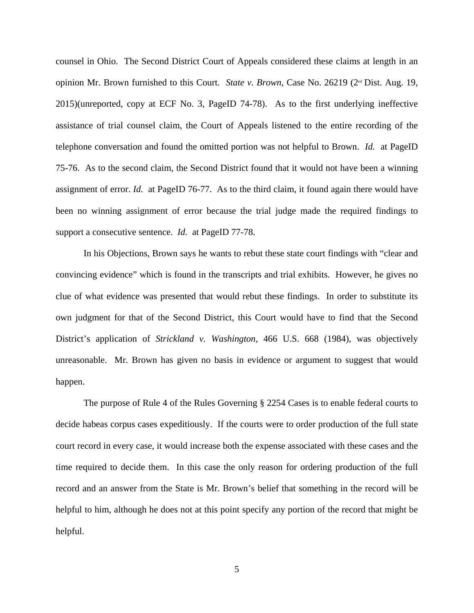counsel in Ohio. The Second District Court of Appeals considered these claims at length in an opinion Mr. Brown furnished to this Court. *State v. Brown*, Case No. 26219 (2nd Dist. Aug. 19, 2015)(unreported, copy at ECF No. 3, PageID 74-78). As to the first underlying ineffective assistance of trial counsel claim, the Court of Appeals listened to the entire recording of the telephone conversation and found the omitted portion was not helpful to Brown. *Id.* at PageID 75-76. As to the second claim, the Second District found that it would not have been a winning assignment of error. *Id.* at PageID 76-77. As to the third claim, it found again there would have been no winning assignment of error because the trial judge made the required findings to support a consecutive sentence. *Id.* at PageID 77-78.

 In his Objections, Brown says he wants to rebut these state court findings with "clear and convincing evidence" which is found in the transcripts and trial exhibits. However, he gives no clue of what evidence was presented that would rebut these findings. In order to substitute its own judgment for that of the Second District, this Court would have to find that the Second District's application of *Strickland v. Washington,* 466 U.S. 668 (1984), was objectively unreasonable. Mr. Brown has given no basis in evidence or argument to suggest that would happen.

 The purpose of Rule 4 of the Rules Governing § 2254 Cases is to enable federal courts to decide habeas corpus cases expeditiously. If the courts were to order production of the full state court record in every case, it would increase both the expense associated with these cases and the time required to decide them. In this case the only reason for ordering production of the full record and an answer from the State is Mr. Brown's belief that something in the record will be helpful to him, although he does not at this point specify any portion of the record that might be helpful.